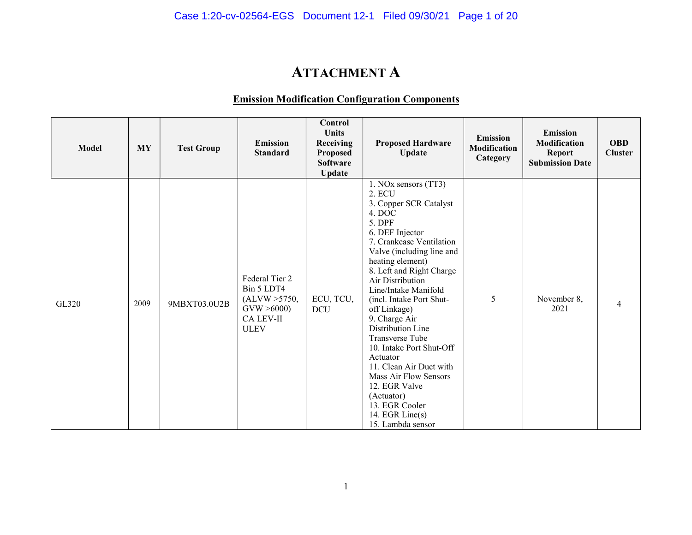# ATTACHMENT A

### Emission Modification Configuration Components

| <b>Model</b> | <b>MY</b> | <b>Test Group</b> | <b>Emission</b><br><b>Standard</b>                                                             | Control<br><b>Units</b><br>Receiving<br><b>Proposed</b><br><b>Software</b><br><b>Update</b> | <b>Proposed Hardware</b><br>Update                                                                                                                                                                                                                                                                                                                                                                                                                                                                                                             | <b>Emission</b><br><b>Modification</b><br>Category | <b>Emission</b><br><b>Modification</b><br><b>Report</b><br><b>Submission Date</b> | <b>OBD</b><br><b>Cluster</b> |
|--------------|-----------|-------------------|------------------------------------------------------------------------------------------------|---------------------------------------------------------------------------------------------|------------------------------------------------------------------------------------------------------------------------------------------------------------------------------------------------------------------------------------------------------------------------------------------------------------------------------------------------------------------------------------------------------------------------------------------------------------------------------------------------------------------------------------------------|----------------------------------------------------|-----------------------------------------------------------------------------------|------------------------------|
| GL320        | 2009      | 9MBXT03.0U2B      | Federal Tier 2<br>Bin 5 LDT4<br>(ALVW > 5750,<br>GVW > 6000<br><b>CA LEV-II</b><br><b>ULEV</b> | ECU, TCU,<br><b>DCU</b>                                                                     | 1. NOx sensors (TT3)<br>2. ECU<br>3. Copper SCR Catalyst<br>4. DOC<br>5. DPF<br>6. DEF Injector<br>7. Crankcase Ventilation<br>Valve (including line and<br>heating element)<br>8. Left and Right Charge<br>Air Distribution<br>Line/Intake Manifold<br>(incl. Intake Port Shut-<br>off Linkage)<br>9. Charge Air<br>Distribution Line<br>Transverse Tube<br>10. Intake Port Shut-Off<br>Actuator<br>11. Clean Air Duct with<br>Mass Air Flow Sensors<br>12. EGR Valve<br>(Actuator)<br>13. EGR Cooler<br>14. EGR Line(s)<br>15. Lambda sensor | 5                                                  | November 8,<br>2021                                                               | 4                            |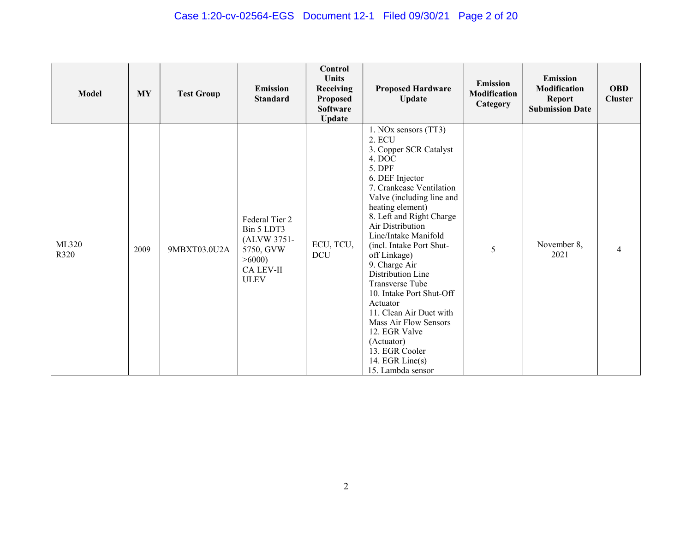## Case 1:20-cv-02564-EGS Document 12-1 Filed 09/30/21 Page 2 of 20

| <b>Model</b>  | <b>MY</b> | <b>Test Group</b> | <b>Emission</b><br><b>Standard</b>                                                                   | Control<br>Units<br>Receiving<br><b>Proposed</b><br><b>Software</b><br><b>Update</b> | <b>Proposed Hardware</b><br><b>Update</b>                                                                                                                                                                                                                                                                                                                                                                                                                                                                                                      | <b>Emission</b><br><b>Modification</b><br>Category | <b>Emission</b><br><b>Modification</b><br><b>Report</b><br><b>Submission Date</b> | <b>OBD</b><br><b>Cluster</b> |
|---------------|-----------|-------------------|------------------------------------------------------------------------------------------------------|--------------------------------------------------------------------------------------|------------------------------------------------------------------------------------------------------------------------------------------------------------------------------------------------------------------------------------------------------------------------------------------------------------------------------------------------------------------------------------------------------------------------------------------------------------------------------------------------------------------------------------------------|----------------------------------------------------|-----------------------------------------------------------------------------------|------------------------------|
| ML320<br>R320 | 2009      | 9MBXT03.0U2A      | Federal Tier 2<br>Bin 5 LDT3<br>(ALVW 3751-<br>5750, GVW<br>>6000<br><b>CA LEV-II</b><br><b>ULEV</b> | ECU, TCU,<br><b>DCU</b>                                                              | 1. NOx sensors (TT3)<br>2. ECU<br>3. Copper SCR Catalyst<br>4. DOC<br>5. DPF<br>6. DEF Injector<br>7. Crankcase Ventilation<br>Valve (including line and<br>heating element)<br>8. Left and Right Charge<br>Air Distribution<br>Line/Intake Manifold<br>(incl. Intake Port Shut-<br>off Linkage)<br>9. Charge Air<br>Distribution Line<br>Transverse Tube<br>10. Intake Port Shut-Off<br>Actuator<br>11. Clean Air Duct with<br>Mass Air Flow Sensors<br>12. EGR Valve<br>(Actuator)<br>13. EGR Cooler<br>14. EGR Line(s)<br>15. Lambda sensor | 5                                                  | November 8,<br>2021                                                               | 4                            |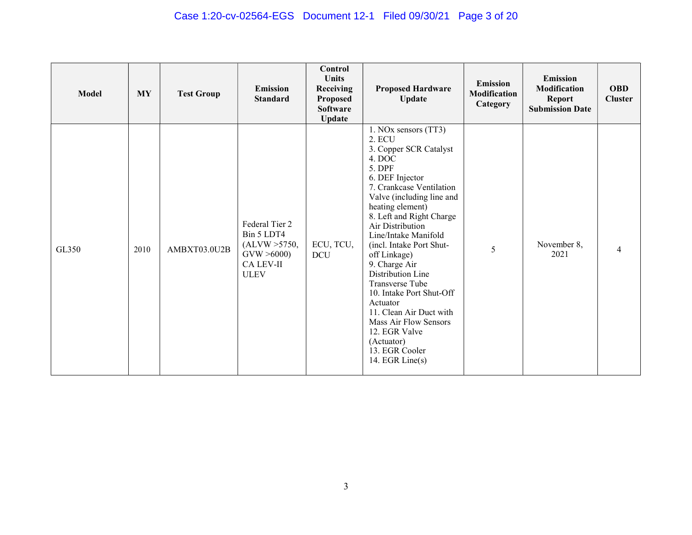## Case 1:20-cv-02564-EGS Document 12-1 Filed 09/30/21 Page 3 of 20

| <b>Model</b> | <b>MY</b> | <b>Test Group</b> | <b>Emission</b><br><b>Standard</b>                                                      | Control<br>Units<br>Receiving<br><b>Proposed</b><br><b>Software</b><br><b>Update</b> | <b>Proposed Hardware</b><br><b>Update</b>                                                                                                                                                                                                                                                                                                                                                                                                                                                                                 | <b>Emission</b><br><b>Modification</b><br>Category | <b>Emission</b><br>Modification<br><b>Report</b><br><b>Submission Date</b> | <b>OBD</b><br><b>Cluster</b> |
|--------------|-----------|-------------------|-----------------------------------------------------------------------------------------|--------------------------------------------------------------------------------------|---------------------------------------------------------------------------------------------------------------------------------------------------------------------------------------------------------------------------------------------------------------------------------------------------------------------------------------------------------------------------------------------------------------------------------------------------------------------------------------------------------------------------|----------------------------------------------------|----------------------------------------------------------------------------|------------------------------|
| GL350        | 2010      | AMBXT03.0U2B      | Federal Tier 2<br>Bin 5 LDT4<br>(ALVW > 5750,<br>GVW > 6000<br>CA LEV-II<br><b>ULEV</b> | ECU, TCU,<br><b>DCU</b>                                                              | 1. NOx sensors (TT3)<br>2. ECU<br>3. Copper SCR Catalyst<br>4. DOC<br>5. DPF<br>6. DEF Injector<br>7. Crankcase Ventilation<br>Valve (including line and<br>heating element)<br>8. Left and Right Charge<br>Air Distribution<br>Line/Intake Manifold<br>(incl. Intake Port Shut-<br>off Linkage)<br>9. Charge Air<br>Distribution Line<br>Transverse Tube<br>10. Intake Port Shut-Off<br>Actuator<br>11. Clean Air Duct with<br>Mass Air Flow Sensors<br>12. EGR Valve<br>(Actuator)<br>13. EGR Cooler<br>14. EGR Line(s) | 5                                                  | November 8,<br>2021                                                        | 4                            |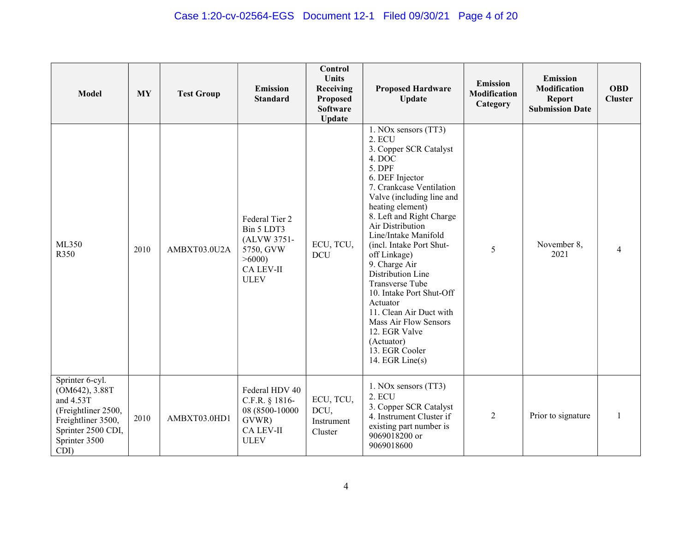## Case 1:20-cv-02564-EGS Document 12-1 Filed 09/30/21 Page 4 of 20

| <b>Model</b>                                                                                                                               | <b>MY</b> | <b>Test Group</b> | <b>Emission</b><br><b>Standard</b>                                                             | Control<br><b>Units</b><br>Receiving<br><b>Proposed</b><br><b>Software</b><br><b>Update</b> | <b>Proposed Hardware</b><br><b>Update</b>                                                                                                                                                                                                                                                                                                                                                                                                                                                                                   | <b>Emission</b><br>Modification<br>Category | <b>Emission</b><br>Modification<br><b>Report</b><br><b>Submission Date</b> | <b>OBD</b><br><b>Cluster</b> |
|--------------------------------------------------------------------------------------------------------------------------------------------|-----------|-------------------|------------------------------------------------------------------------------------------------|---------------------------------------------------------------------------------------------|-----------------------------------------------------------------------------------------------------------------------------------------------------------------------------------------------------------------------------------------------------------------------------------------------------------------------------------------------------------------------------------------------------------------------------------------------------------------------------------------------------------------------------|---------------------------------------------|----------------------------------------------------------------------------|------------------------------|
| ML350<br>R350                                                                                                                              | 2010      | AMBXT03.0U2A      | Federal Tier 2<br>Bin 5 LDT3<br>(ALVW 3751-<br>5750, GVW<br>>6000<br>CA LEV-II<br><b>ULEV</b>  | ECU, TCU,<br><b>DCU</b>                                                                     | 1. NOx sensors (TT3)<br>2. ECU<br>3. Copper SCR Catalyst<br>4. DOC<br>5. DPF<br>6. DEF Injector<br>7. Crankcase Ventilation<br>Valve (including line and<br>heating element)<br>8. Left and Right Charge<br>Air Distribution<br>Line/Intake Manifold<br>(incl. Intake Port Shut-<br>off Linkage)<br>9. Charge Air<br>Distribution Line<br>Transverse Tube<br>10. Intake Port Shut-Off<br>Actuator<br>11. Clean Air Duct with<br>Mass Air Flow Sensors<br>12. EGR Valve<br>(Actuator)<br>13. EGR Cooler<br>14. EGR $Line(s)$ | 5                                           | November 8,<br>2021                                                        |                              |
| Sprinter 6-cyl.<br>(OM642), 3.88T<br>and 4.53T<br>(Freightliner 2500,<br>Freightliner 3500,<br>Sprinter 2500 CDI,<br>Sprinter 3500<br>CDI) | 2010      | AMBXT03.0HD1      | Federal HDV 40<br>C.F.R. § 1816-<br>08 (8500-10000<br>GVWR)<br><b>CA LEV-II</b><br><b>ULEV</b> | ECU, TCU,<br>DCU,<br>Instrument<br>Cluster                                                  | 1. NOx sensors (TT3)<br>2. ECU<br>3. Copper SCR Catalyst<br>4. Instrument Cluster if<br>existing part number is<br>9069018200 or<br>9069018600                                                                                                                                                                                                                                                                                                                                                                              | $\overline{2}$                              | Prior to signature                                                         |                              |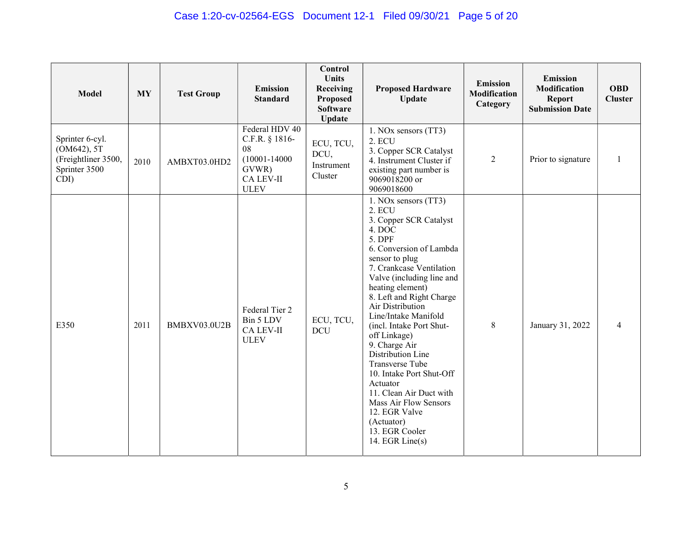| <b>Model</b>                                                                   | <b>MY</b> | <b>Test Group</b> | <b>Emission</b><br><b>Standard</b>                                                               | Control<br><b>Units</b><br>Receiving<br>Proposed<br><b>Software</b><br><b>Update</b> | <b>Proposed Hardware</b><br><b>Update</b>                                                                                                                                                                                                                                                                                                                                                                                                                                                                                                           | <b>Emission</b><br><b>Modification</b><br>Category | <b>Emission</b><br>Modification<br><b>Report</b><br><b>Submission Date</b> | <b>OBD</b><br><b>Cluster</b> |
|--------------------------------------------------------------------------------|-----------|-------------------|--------------------------------------------------------------------------------------------------|--------------------------------------------------------------------------------------|-----------------------------------------------------------------------------------------------------------------------------------------------------------------------------------------------------------------------------------------------------------------------------------------------------------------------------------------------------------------------------------------------------------------------------------------------------------------------------------------------------------------------------------------------------|----------------------------------------------------|----------------------------------------------------------------------------|------------------------------|
| Sprinter 6-cyl.<br>(OM642), 5T<br>(Freightliner 3500,<br>Sprinter 3500<br>CDI) | 2010      | AMBXT03.0HD2      | Federal HDV 40<br>C.F.R. § 1816-<br>08<br>$(10001 - 14000)$<br>GVWR)<br>CA LEV-II<br><b>ULEV</b> | ECU, TCU,<br>DCU,<br>Instrument<br>Cluster                                           | 1. NOx sensors (TT3)<br>2. ECU<br>3. Copper SCR Catalyst<br>4. Instrument Cluster if<br>existing part number is<br>9069018200 or<br>9069018600                                                                                                                                                                                                                                                                                                                                                                                                      | $\overline{2}$                                     | Prior to signature                                                         |                              |
| E350                                                                           | 2011      | BMBXV03.0U2B      | Federal Tier 2<br>Bin 5 LDV<br><b>CA LEV-II</b><br><b>ULEV</b>                                   | ECU, TCU,<br><b>DCU</b>                                                              | 1. NOx sensors (TT3)<br>2. ECU<br>3. Copper SCR Catalyst<br>4. DOC<br>5. DPF<br>6. Conversion of Lambda<br>sensor to plug<br>7. Crankcase Ventilation<br>Valve (including line and<br>heating element)<br>8. Left and Right Charge<br>Air Distribution<br>Line/Intake Manifold<br>(incl. Intake Port Shut-<br>off Linkage)<br>9. Charge Air<br>Distribution Line<br>Transverse Tube<br>10. Intake Port Shut-Off<br>Actuator<br>11. Clean Air Duct with<br>Mass Air Flow Sensors<br>12. EGR Valve<br>(Actuator)<br>13. EGR Cooler<br>14. EGR Line(s) | $\,8\,$                                            | January 31, 2022                                                           | 4                            |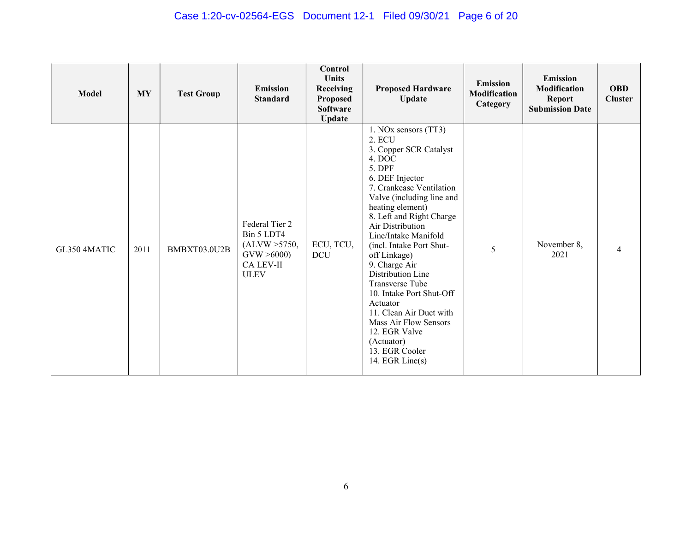## Case 1:20-cv-02564-EGS Document 12-1 Filed 09/30/21 Page 6 of 20

| <b>Model</b> | <b>MY</b> | <b>Test Group</b> | <b>Emission</b><br><b>Standard</b>                                                             | Control<br><b>Units</b><br><b>Receiving</b><br><b>Proposed</b><br><b>Software</b><br><b>Update</b> | <b>Proposed Hardware</b><br><b>Update</b>                                                                                                                                                                                                                                                                                                                                                                                                                                                                                    | <b>Emission</b><br><b>Modification</b><br>Category | <b>Emission</b><br><b>Modification</b><br><b>Report</b><br><b>Submission Date</b> | <b>OBD</b><br><b>Cluster</b> |
|--------------|-----------|-------------------|------------------------------------------------------------------------------------------------|----------------------------------------------------------------------------------------------------|------------------------------------------------------------------------------------------------------------------------------------------------------------------------------------------------------------------------------------------------------------------------------------------------------------------------------------------------------------------------------------------------------------------------------------------------------------------------------------------------------------------------------|----------------------------------------------------|-----------------------------------------------------------------------------------|------------------------------|
| GL350 4MATIC | 2011      | BMBXT03.0U2B      | Federal Tier 2<br>Bin 5 LDT4<br>(ALVW > 5750,<br>GVW > 6000<br><b>CA LEV-II</b><br><b>ULEV</b> | ECU, TCU,<br><b>DCU</b>                                                                            | 1. NOx sensors (TT3)<br>2. ECU<br>3. Copper SCR Catalyst<br>4. DOC<br>5. DPF<br>6. DEF Injector<br>7. Crankcase Ventilation<br>Valve (including line and<br>heating element)<br>8. Left and Right Charge<br>Air Distribution<br>Line/Intake Manifold<br>(incl. Intake Port Shut-<br>off Linkage)<br>9. Charge Air<br>Distribution Line<br>Transverse Tube<br>10. Intake Port Shut-Off<br>Actuator<br>11. Clean Air Duct with<br>Mass Air Flow Sensors<br>12. EGR Valve<br>(Actuator)<br>13. EGR Cooler<br>14. EGR Line $(s)$ | 5                                                  | November 8,<br>2021                                                               | 4                            |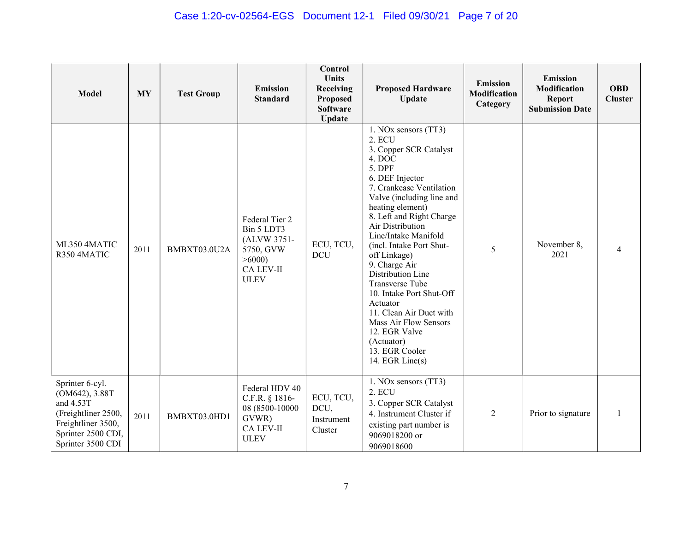## Case 1:20-cv-02564-EGS Document 12-1 Filed 09/30/21 Page 7 of 20

| <b>Model</b>                                                                                                                           | <b>MY</b> | <b>Test Group</b> | <b>Emission</b><br><b>Standard</b>                                                                   | Control<br><b>Units</b><br>Receiving<br><b>Proposed</b><br><b>Software</b><br><b>Update</b> | <b>Proposed Hardware</b><br><b>Update</b>                                                                                                                                                                                                                                                                                                                                                                                                                                                                                   | <b>Emission</b><br><b>Modification</b><br>Category | <b>Emission</b><br>Modification<br><b>Report</b><br><b>Submission Date</b> | <b>OBD</b><br><b>Cluster</b> |
|----------------------------------------------------------------------------------------------------------------------------------------|-----------|-------------------|------------------------------------------------------------------------------------------------------|---------------------------------------------------------------------------------------------|-----------------------------------------------------------------------------------------------------------------------------------------------------------------------------------------------------------------------------------------------------------------------------------------------------------------------------------------------------------------------------------------------------------------------------------------------------------------------------------------------------------------------------|----------------------------------------------------|----------------------------------------------------------------------------|------------------------------|
| ML350 4MATIC<br>R350 4MATIC                                                                                                            | 2011      | BMBXT03.0U2A      | Federal Tier 2<br>Bin 5 LDT3<br>(ALVW 3751-<br>5750, GVW<br>>6000<br><b>CA LEV-II</b><br><b>ULEV</b> | ECU, TCU,<br><b>DCU</b>                                                                     | 1. NOx sensors (TT3)<br>2. ECU<br>3. Copper SCR Catalyst<br>4. DOC<br>5. DPF<br>6. DEF Injector<br>7. Crankcase Ventilation<br>Valve (including line and<br>heating element)<br>8. Left and Right Charge<br>Air Distribution<br>Line/Intake Manifold<br>(incl. Intake Port Shut-<br>off Linkage)<br>9. Charge Air<br>Distribution Line<br>Transverse Tube<br>10. Intake Port Shut-Off<br>Actuator<br>11. Clean Air Duct with<br>Mass Air Flow Sensors<br>12. EGR Valve<br>(Actuator)<br>13. EGR Cooler<br>14. EGR $Line(s)$ | 5                                                  | November 8,<br>2021                                                        | 4                            |
| Sprinter 6-cyl.<br>(OM642), 3.88T<br>and 4.53T<br>(Freightliner 2500,<br>Freightliner 3500,<br>Sprinter 2500 CDI,<br>Sprinter 3500 CDI | 2011      | BMBXT03.0HD1      | Federal HDV 40<br>C.F.R. § 1816-<br>08 (8500-10000<br>GVWR)<br>CA LEV-II<br><b>ULEV</b>              | ECU, TCU,<br>DCU,<br>Instrument<br>Cluster                                                  | 1. NOx sensors (TT3)<br>2. ECU<br>3. Copper SCR Catalyst<br>4. Instrument Cluster if<br>existing part number is<br>9069018200 or<br>9069018600                                                                                                                                                                                                                                                                                                                                                                              | $\overline{2}$                                     | Prior to signature                                                         |                              |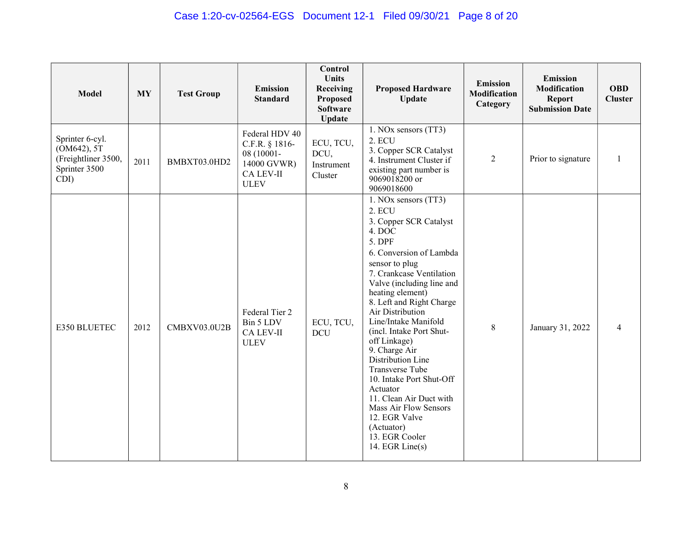| <b>Model</b>                                                                   | <b>MY</b> | <b>Test Group</b> | <b>Emission</b><br><b>Standard</b>                                                               | Control<br><b>Units</b><br>Receiving<br>Proposed<br><b>Software</b><br><b>Update</b> | <b>Proposed Hardware</b><br><b>Update</b>                                                                                                                                                                                                                                                                                                                                                                                                                                                                                                           | <b>Emission</b><br>Modification<br>Category | <b>Emission</b><br>Modification<br><b>Report</b><br><b>Submission Date</b> | <b>OBD</b><br><b>Cluster</b> |
|--------------------------------------------------------------------------------|-----------|-------------------|--------------------------------------------------------------------------------------------------|--------------------------------------------------------------------------------------|-----------------------------------------------------------------------------------------------------------------------------------------------------------------------------------------------------------------------------------------------------------------------------------------------------------------------------------------------------------------------------------------------------------------------------------------------------------------------------------------------------------------------------------------------------|---------------------------------------------|----------------------------------------------------------------------------|------------------------------|
| Sprinter 6-cyl.<br>(OM642), 5T<br>(Freightliner 3500,<br>Sprinter 3500<br>CDI) | 2011      | BMBXT03.0HD2      | Federal HDV 40<br>C.F.R. § 1816-<br>08 (10001-<br>14000 GVWR)<br><b>CA LEV-II</b><br><b>ULEV</b> | ECU, TCU,<br>DCU,<br>Instrument<br>Cluster                                           | 1. NOx sensors (TT3)<br>2. ECU<br>3. Copper SCR Catalyst<br>4. Instrument Cluster if<br>existing part number is<br>9069018200 or<br>9069018600                                                                                                                                                                                                                                                                                                                                                                                                      | 2                                           | Prior to signature                                                         |                              |
| E350 BLUETEC                                                                   | 2012      | CMBXV03.0U2B      | Federal Tier 2<br>Bin 5 LDV<br><b>CA LEV-II</b><br><b>ULEV</b>                                   | ECU, TCU,<br><b>DCU</b>                                                              | 1. NOx sensors (TT3)<br>2. ECU<br>3. Copper SCR Catalyst<br>4. DOC<br>5. DPF<br>6. Conversion of Lambda<br>sensor to plug<br>7. Crankcase Ventilation<br>Valve (including line and<br>heating element)<br>8. Left and Right Charge<br>Air Distribution<br>Line/Intake Manifold<br>(incl. Intake Port Shut-<br>off Linkage)<br>9. Charge Air<br>Distribution Line<br>Transverse Tube<br>10. Intake Port Shut-Off<br>Actuator<br>11. Clean Air Duct with<br>Mass Air Flow Sensors<br>12. EGR Valve<br>(Actuator)<br>13. EGR Cooler<br>14. EGR Line(s) | 8                                           | January 31, 2022                                                           |                              |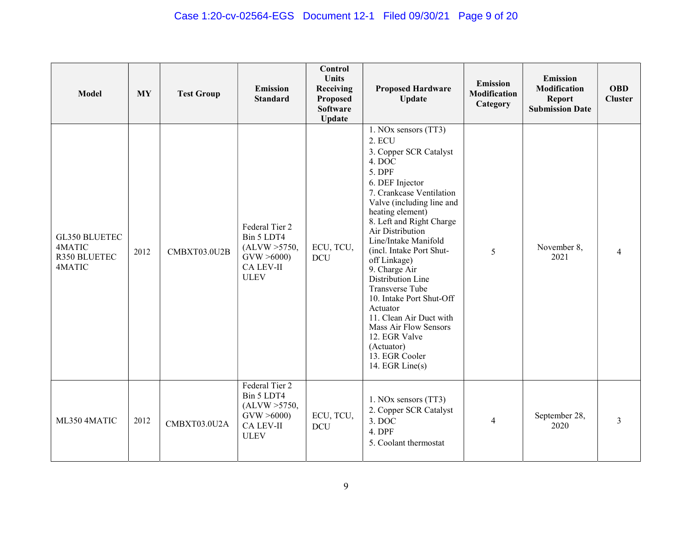## Case 1:20-cv-02564-EGS Document 12-1 Filed 09/30/21 Page 9 of 20

| Model                                                    | <b>MY</b> | <b>Test Group</b> | <b>Emission</b><br><b>Standard</b>                                                             | Control<br><b>Units</b><br>Receiving<br>Proposed<br><b>Software</b><br><b>Update</b> | <b>Proposed Hardware</b><br><b>Update</b>                                                                                                                                                                                                                                                                                                                                                                                                                                                                                 | <b>Emission</b><br><b>Modification</b><br>Category | <b>Emission</b><br><b>Modification</b><br><b>Report</b><br><b>Submission Date</b> | <b>OBD</b><br><b>Cluster</b> |
|----------------------------------------------------------|-----------|-------------------|------------------------------------------------------------------------------------------------|--------------------------------------------------------------------------------------|---------------------------------------------------------------------------------------------------------------------------------------------------------------------------------------------------------------------------------------------------------------------------------------------------------------------------------------------------------------------------------------------------------------------------------------------------------------------------------------------------------------------------|----------------------------------------------------|-----------------------------------------------------------------------------------|------------------------------|
| <b>GL350 BLUETEC</b><br>4MATIC<br>R350 BLUETEC<br>4MATIC | 2012      | CMBXT03.0U2B      | Federal Tier 2<br>Bin 5 LDT4<br>(ALVW > 5750,<br>GVW > 6000<br><b>CA LEV-II</b><br><b>ULEV</b> | ECU, TCU,<br><b>DCU</b>                                                              | 1. NOx sensors (TT3)<br>2. ECU<br>3. Copper SCR Catalyst<br>4. DOC<br>5. DPF<br>6. DEF Injector<br>7. Crankcase Ventilation<br>Valve (including line and<br>heating element)<br>8. Left and Right Charge<br>Air Distribution<br>Line/Intake Manifold<br>(incl. Intake Port Shut-<br>off Linkage)<br>9. Charge Air<br>Distribution Line<br>Transverse Tube<br>10. Intake Port Shut-Off<br>Actuator<br>11. Clean Air Duct with<br>Mass Air Flow Sensors<br>12. EGR Valve<br>(Actuator)<br>13. EGR Cooler<br>14. EGR Line(s) | 5                                                  | November 8,<br>2021                                                               | $\overline{4}$               |
| ML350 4MATIC                                             | 2012      | CMBXT03.0U2A      | Federal Tier 2<br>Bin 5 LDT4<br>(ALVW > 5750,<br>GVW > 6000<br><b>CA LEV-II</b><br><b>ULEV</b> | ECU, TCU,<br><b>DCU</b>                                                              | 1. NOx sensors (TT3)<br>2. Copper SCR Catalyst<br>3. DOC<br>4. DPF<br>5. Coolant thermostat                                                                                                                                                                                                                                                                                                                                                                                                                               | $\overline{4}$                                     | September 28,<br>2020                                                             | $\mathfrak{Z}$               |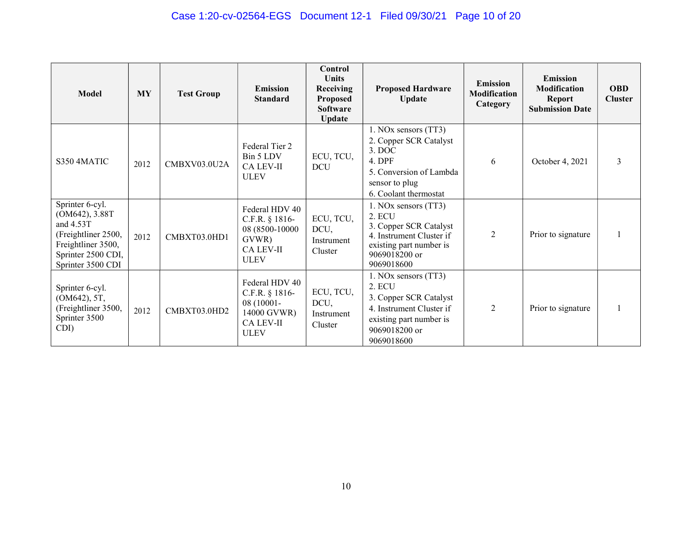| <b>Model</b>                                                                                                                           | <b>MY</b> | <b>Test Group</b> | <b>Emission</b><br><b>Standard</b>                                                               | Control<br><b>Units</b><br><b>Receiving</b><br><b>Proposed</b><br><b>Software</b><br><b>Update</b> | <b>Proposed Hardware</b><br><b>Update</b>                                                                                                      | <b>Emission</b><br><b>Modification</b><br>Category | <b>Emission</b><br><b>Modification</b><br><b>Report</b><br><b>Submission Date</b> | <b>OBD</b><br><b>Cluster</b> |
|----------------------------------------------------------------------------------------------------------------------------------------|-----------|-------------------|--------------------------------------------------------------------------------------------------|----------------------------------------------------------------------------------------------------|------------------------------------------------------------------------------------------------------------------------------------------------|----------------------------------------------------|-----------------------------------------------------------------------------------|------------------------------|
| S350 4MATIC                                                                                                                            | 2012      | CMBXV03.0U2A      | Federal Tier 2<br>Bin 5 LDV<br><b>CA LEV-II</b><br><b>ULEV</b>                                   | ECU, TCU,<br><b>DCU</b>                                                                            | 1. NOx sensors (TT3)<br>2. Copper SCR Catalyst<br>$3.$ DOC<br>4. DPF<br>5. Conversion of Lambda<br>sensor to plug<br>6. Coolant thermostat     | 6                                                  | October 4, 2021                                                                   | 3                            |
| Sprinter 6-cyl.<br>(OM642), 3.88T<br>and 4.53T<br>(Freightliner 2500,<br>Freightliner 3500,<br>Sprinter 2500 CDI,<br>Sprinter 3500 CDI | 2012      | CMBXT03.0HD1      | Federal HDV 40<br>C.F.R. § 1816-<br>08 (8500-10000<br>GVWR)<br><b>CA LEV-II</b><br><b>ULEV</b>   | ECU, TCU,<br>DCU,<br>Instrument<br>Cluster                                                         | 1. NOx sensors (TT3)<br>2. ECU<br>3. Copper SCR Catalyst<br>4. Instrument Cluster if<br>existing part number is<br>9069018200 or<br>9069018600 | 2                                                  | Prior to signature                                                                |                              |
| Sprinter 6-cyl.<br>(OM642), 5T,<br>(Freightliner 3500,<br>Sprinter 3500<br>CDI)                                                        | 2012      | CMBXT03.0HD2      | Federal HDV 40<br>C.F.R. § 1816-<br>08 (10001-<br>14000 GVWR)<br><b>CA LEV-II</b><br><b>ULEV</b> | ECU, TCU,<br>DCU,<br>Instrument<br>Cluster                                                         | 1. NOx sensors (TT3)<br>2. ECU<br>3. Copper SCR Catalyst<br>4. Instrument Cluster if<br>existing part number is<br>9069018200 or<br>9069018600 | $\overline{2}$                                     | Prior to signature                                                                |                              |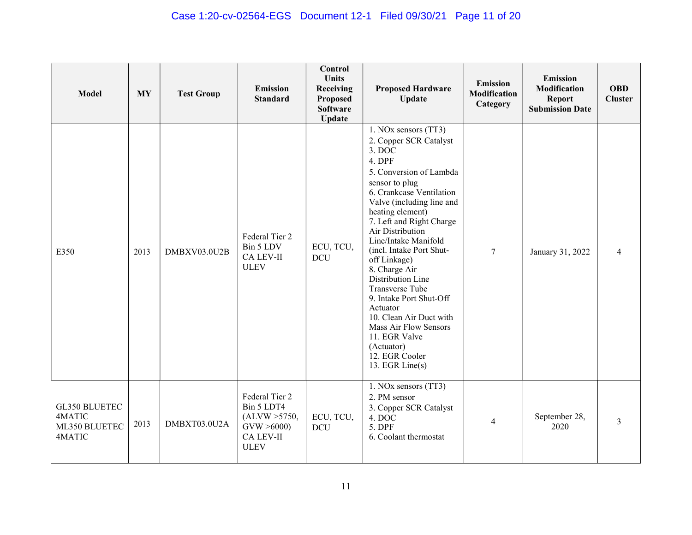## Case 1:20-cv-02564-EGS Document 12-1 Filed 09/30/21 Page 11 of 20

| <b>Model</b>                                       | <b>MY</b> | <b>Test Group</b> | <b>Emission</b><br><b>Standard</b>                                                      | Control<br><b>Units</b><br>Receiving<br><b>Proposed</b><br><b>Software</b><br><b>Update</b> | <b>Proposed Hardware</b><br><b>Update</b>                                                                                                                                                                                                                                                                                                                                                                                                                                                                                                         | <b>Emission</b><br><b>Modification</b><br>Category | <b>Emission</b><br>Modification<br><b>Report</b><br><b>Submission Date</b> | <b>OBD</b><br><b>Cluster</b> |
|----------------------------------------------------|-----------|-------------------|-----------------------------------------------------------------------------------------|---------------------------------------------------------------------------------------------|---------------------------------------------------------------------------------------------------------------------------------------------------------------------------------------------------------------------------------------------------------------------------------------------------------------------------------------------------------------------------------------------------------------------------------------------------------------------------------------------------------------------------------------------------|----------------------------------------------------|----------------------------------------------------------------------------|------------------------------|
| E350                                               | 2013      | DMBXV03.0U2B      | Federal Tier 2<br>Bin 5 LDV<br>CA LEV-II<br><b>ULEV</b>                                 | ECU, TCU,<br><b>DCU</b>                                                                     | 1. NOx sensors (TT3)<br>2. Copper SCR Catalyst<br>$3.$ DOC<br>4. DPF<br>5. Conversion of Lambda<br>sensor to plug<br>6. Crankcase Ventilation<br>Valve (including line and<br>heating element)<br>7. Left and Right Charge<br>Air Distribution<br>Line/Intake Manifold<br>(incl. Intake Port Shut-<br>off Linkage)<br>8. Charge Air<br>Distribution Line<br><b>Transverse Tube</b><br>9. Intake Port Shut-Off<br>Actuator<br>10. Clean Air Duct with<br>Mass Air Flow Sensors<br>11. EGR Valve<br>(Actuator)<br>12. EGR Cooler<br>13. EGR Line(s) | 7                                                  | January 31, 2022                                                           | 4                            |
| GL350 BLUETEC<br>4MATIC<br>ML350 BLUETEC<br>4MATIC | 2013      | DMBXT03.0U2A      | Federal Tier 2<br>Bin 5 LDT4<br>(ALVW > 5750,<br>GVW > 6000<br>CA LEV-II<br><b>ULEV</b> | ECU, TCU,<br><b>DCU</b>                                                                     | 1. NOx sensors (TT3)<br>2. PM sensor<br>3. Copper SCR Catalyst<br>4. DOC<br>5. DPF<br>6. Coolant thermostat                                                                                                                                                                                                                                                                                                                                                                                                                                       | $\overline{4}$                                     | September 28,<br>2020                                                      | 3                            |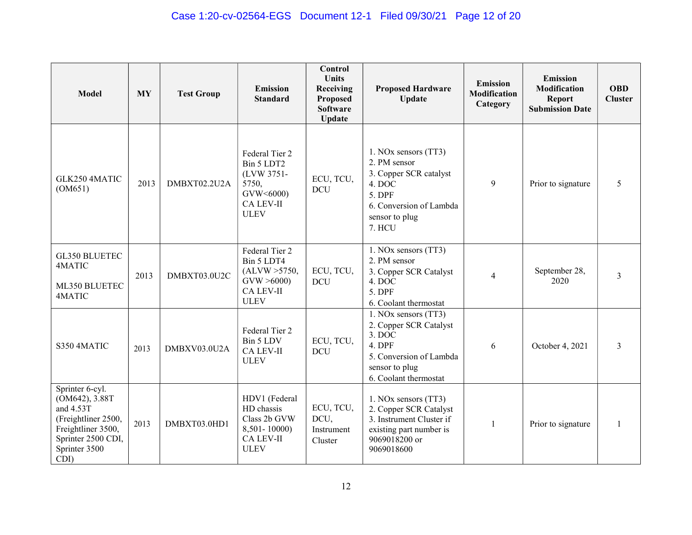| <b>Model</b>                                                                                                                               | <b>MY</b> | <b>Test Group</b> | <b>Emission</b><br><b>Standard</b>                                                             | Control<br><b>Units</b><br>Receiving<br>Proposed<br><b>Software</b><br><b>Update</b> | <b>Proposed Hardware</b><br><b>Update</b>                                                                                                  | <b>Emission</b><br><b>Modification</b><br>Category | <b>Emission</b><br>Modification<br><b>Report</b><br><b>Submission Date</b> | <b>OBD</b><br><b>Cluster</b> |
|--------------------------------------------------------------------------------------------------------------------------------------------|-----------|-------------------|------------------------------------------------------------------------------------------------|--------------------------------------------------------------------------------------|--------------------------------------------------------------------------------------------------------------------------------------------|----------------------------------------------------|----------------------------------------------------------------------------|------------------------------|
| GLK250 4MATIC<br>(OM651)                                                                                                                   | 2013      | DMBXT02.2U2A      | Federal Tier 2<br>Bin 5 LDT2<br>(LVW 3751-<br>5750,<br>GVW<6000)<br>CA LEV-II<br><b>ULEV</b>   | ECU, TCU,<br><b>DCU</b>                                                              | 1. NOx sensors (TT3)<br>2. PM sensor<br>3. Copper SCR catalyst<br>4. DOC<br>5. DPF<br>6. Conversion of Lambda<br>sensor to plug<br>7. HCU  | 9                                                  | Prior to signature                                                         | 5                            |
| GL350 BLUETEC<br>4MATIC<br>ML350 BLUETEC<br>4MATIC                                                                                         | 2013      | DMBXT03.0U2C      | Federal Tier 2<br>Bin 5 LDT4<br>(ALVW > 5750,<br>GVW > 6000<br><b>CA LEV-II</b><br><b>ULEV</b> | ECU, TCU,<br><b>DCU</b>                                                              | 1. NOx sensors (TT3)<br>2. PM sensor<br>3. Copper SCR Catalyst<br>4. DOC<br>5. DPF<br>6. Coolant thermostat                                | 4                                                  | September 28,<br>2020                                                      | 3                            |
| S350 4MATIC                                                                                                                                | 2013      | DMBXV03.0U2A      | Federal Tier 2<br>Bin 5 LDV<br><b>CA LEV-II</b><br><b>ULEV</b>                                 | ECU, TCU,<br><b>DCU</b>                                                              | 1. NOx sensors (TT3)<br>2. Copper SCR Catalyst<br>$3.$ DOC<br>4. DPF<br>5. Conversion of Lambda<br>sensor to plug<br>6. Coolant thermostat | 6                                                  | October 4, 2021                                                            | $\overline{3}$               |
| Sprinter 6-cyl.<br>(OM642), 3.88T<br>and 4.53T<br>(Freightliner 2500,<br>Freightliner 3500,<br>Sprinter 2500 CDI,<br>Sprinter 3500<br>CDI) | 2013      | DMBXT03.0HD1      | HDV1 (Federal<br>HD chassis<br>Class 2b GVW<br>8,501-10000)<br><b>CA LEV-II</b><br><b>ULEV</b> | ECU, TCU,<br>DCU,<br>Instrument<br>Cluster                                           | 1. NOx sensors (TT3)<br>2. Copper SCR Catalyst<br>3. Instrument Cluster if<br>existing part number is<br>9069018200 or<br>9069018600       | $\mathbf{1}$                                       | Prior to signature                                                         | 1                            |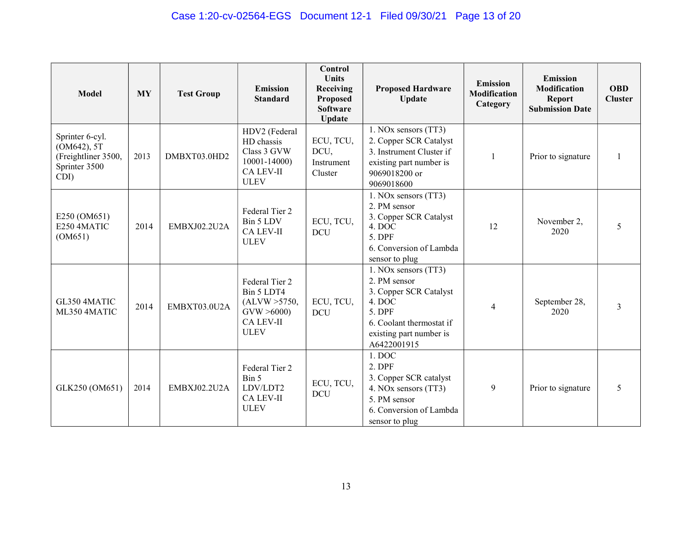| <b>Model</b>                                                                               | <b>MY</b> | <b>Test Group</b> | <b>Emission</b><br><b>Standard</b>                                                               | Control<br><b>Units</b><br>Receiving<br><b>Proposed</b><br><b>Software</b><br><b>Update</b> | <b>Proposed Hardware</b><br><b>Update</b>                                                                                                                | <b>Emission</b><br><b>Modification</b><br>Category | <b>Emission</b><br><b>Modification</b><br><b>Report</b><br><b>Submission Date</b> | <b>OBD</b><br><b>Cluster</b> |
|--------------------------------------------------------------------------------------------|-----------|-------------------|--------------------------------------------------------------------------------------------------|---------------------------------------------------------------------------------------------|----------------------------------------------------------------------------------------------------------------------------------------------------------|----------------------------------------------------|-----------------------------------------------------------------------------------|------------------------------|
| Sprinter 6-cyl.<br>(OM642), 5T<br>(Freightliner 3500,<br>Sprinter 3500<br>$\overline{CDI}$ | 2013      | DMBXT03.0HD2      | HDV2 (Federal<br>HD chassis<br>Class 3 GVW<br>$10001 - 14000$<br><b>CA LEV-II</b><br><b>ULEV</b> | ECU, TCU,<br>DCU,<br>Instrument<br>Cluster                                                  | 1. NOx sensors (TT3)<br>2. Copper SCR Catalyst<br>3. Instrument Cluster if<br>existing part number is<br>9069018200 or<br>9069018600                     | 1                                                  | Prior to signature                                                                |                              |
| E250 (OM651)<br>E250 4MATIC<br>(OM651)                                                     | 2014      | EMBXJ02.2U2A      | Federal Tier 2<br>Bin 5 LDV<br><b>CA LEV-II</b><br><b>ULEV</b>                                   | ECU, TCU,<br><b>DCU</b>                                                                     | 1. NOx sensors (TT3)<br>2. PM sensor<br>3. Copper SCR Catalyst<br>4. DOC<br>5. DPF<br>6. Conversion of Lambda<br>sensor to plug                          | 12                                                 | November 2,<br>2020                                                               | 5                            |
| GL350 4MATIC<br>ML350 4MATIC                                                               | 2014      | EMBXT03.0U2A      | Federal Tier 2<br>Bin 5 LDT4<br>(ALVW > 5750,<br>GVW > 6000<br><b>CA LEV-II</b><br><b>ULEV</b>   | ECU, TCU,<br><b>DCU</b>                                                                     | 1. NOx sensors (TT3)<br>2. PM sensor<br>3. Copper SCR Catalyst<br>4. DOC<br>5. DPF<br>6. Coolant thermostat if<br>existing part number is<br>A6422001915 | $\overline{4}$                                     | September 28,<br>2020                                                             | 3                            |
| GLK250 (OM651)                                                                             | 2014      | EMBXJ02.2U2A      | Federal Tier 2<br>Bin 5<br>LDV/LDT2<br><b>CA LEV-II</b><br><b>ULEV</b>                           | ECU, TCU,<br><b>DCU</b>                                                                     | 1. DOC<br>$2.$ DPF<br>3. Copper SCR catalyst<br>4. NOx sensors (TT3)<br>5. PM sensor<br>6. Conversion of Lambda<br>sensor to plug                        | 9                                                  | Prior to signature                                                                | 5                            |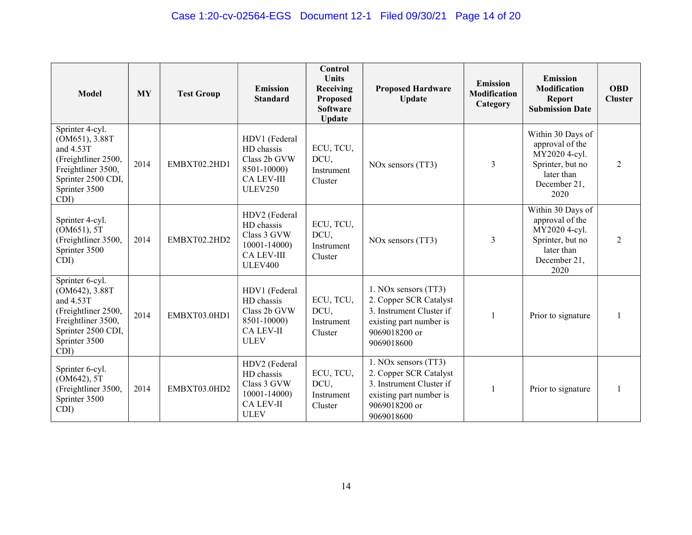| <b>Model</b>                                                                                                                               | <b>MY</b> | <b>Test Group</b> | <b>Emission</b><br><b>Standard</b>                                                                   | <b>Control</b><br>Units<br>Receiving<br>Proposed<br><b>Software</b><br><b>Update</b> | <b>Proposed Hardware</b><br><b>Update</b>                                                                                            | <b>Emission</b><br><b>Modification</b><br>Category | <b>Emission</b><br><b>Modification</b><br><b>Report</b><br><b>Submission Date</b>                               | <b>OBD</b><br><b>Cluster</b> |
|--------------------------------------------------------------------------------------------------------------------------------------------|-----------|-------------------|------------------------------------------------------------------------------------------------------|--------------------------------------------------------------------------------------|--------------------------------------------------------------------------------------------------------------------------------------|----------------------------------------------------|-----------------------------------------------------------------------------------------------------------------|------------------------------|
| Sprinter 4-cyl.<br>(OM651), 3.88T<br>and 4.53T<br>(Freightliner 2500,<br>Freightliner 3500,<br>Sprinter 2500 CDI,<br>Sprinter 3500<br>CDI) | 2014      | EMBXT02.2HD1      | HDV1 (Federal<br>HD chassis<br>Class 2b GVW<br>8501-10000)<br><b>CA LEV-III</b><br><b>ULEV250</b>    | ECU, TCU,<br>DCU,<br>Instrument<br>Cluster                                           | NO <sub>x</sub> sensors (TT3)                                                                                                        | 3                                                  | Within 30 Days of<br>approval of the<br>MY2020 4-cyl.<br>Sprinter, but no<br>later than<br>December 21,<br>2020 | 2                            |
| Sprinter 4-cyl.<br>(OM651), 5T<br>(Freightliner 3500,<br>Sprinter 3500<br>CDI)                                                             | 2014      | EMBXT02.2HD2      | HDV2 (Federal<br>HD chassis<br>Class 3 GVW<br>$10001 - 14000$<br><b>CA LEV-III</b><br><b>ULEV400</b> | ECU, TCU,<br>DCU,<br>Instrument<br>Cluster                                           | NO <sub>x</sub> sensors (TT3)                                                                                                        | 3                                                  | Within 30 Days of<br>approval of the<br>MY2020 4-cyl.<br>Sprinter, but no<br>later than<br>December 21,<br>2020 | 2                            |
| Sprinter 6-cyl.<br>(OM642), 3.88T<br>and 4.53T<br>(Freightliner 2500,<br>Freightliner 3500,<br>Sprinter 2500 CDI,<br>Sprinter 3500<br>CDI) | 2014      | EMBXT03.0HD1      | HDV1 (Federal<br>HD chassis<br>Class 2b GVW<br>8501-10000)<br><b>CA LEV-II</b><br><b>ULEV</b>        | ECU, TCU,<br>DCU,<br>Instrument<br>Cluster                                           | 1. NOx sensors (TT3)<br>2. Copper SCR Catalyst<br>3. Instrument Cluster if<br>existing part number is<br>9069018200 or<br>9069018600 |                                                    | Prior to signature                                                                                              |                              |
| Sprinter 6-cyl.<br>(OM642), 5T<br>(Freightliner 3500,<br>Sprinter 3500<br>CDI)                                                             | 2014      | EMBXT03.0HD2      | HDV2 (Federal<br>HD chassis<br>Class 3 GVW<br>$10001 - 14000$<br><b>CA LEV-II</b><br><b>ULEV</b>     | ECU, TCU,<br>DCU,<br>Instrument<br>Cluster                                           | 1. NOx sensors (TT3)<br>2. Copper SCR Catalyst<br>3. Instrument Cluster if<br>existing part number is<br>9069018200 or<br>9069018600 | 1                                                  | Prior to signature                                                                                              |                              |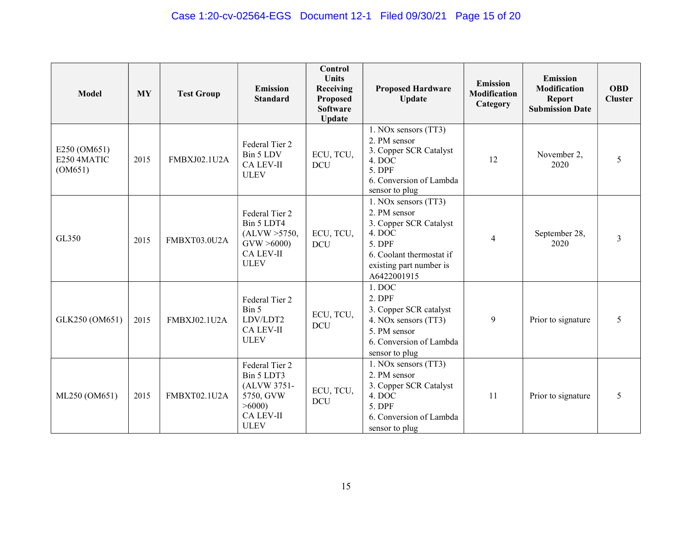| <b>Model</b>                           | <b>MY</b> | <b>Test Group</b>   | <b>Emission</b><br><b>Standard</b>                                                                   | Control<br><b>Units</b><br>Receiving<br>Proposed<br><b>Software</b><br><b>Update</b> | <b>Proposed Hardware</b><br>Update                                                                                                                       | <b>Emission</b><br><b>Modification</b><br>Category | <b>Emission</b><br>Modification<br><b>Report</b><br><b>Submission Date</b> | <b>OBD</b><br><b>Cluster</b> |
|----------------------------------------|-----------|---------------------|------------------------------------------------------------------------------------------------------|--------------------------------------------------------------------------------------|----------------------------------------------------------------------------------------------------------------------------------------------------------|----------------------------------------------------|----------------------------------------------------------------------------|------------------------------|
| E250 (OM651)<br>E250 4MATIC<br>(OM651) | 2015      | FMBXJ02.1U2A        | Federal Tier 2<br>Bin 5 LDV<br><b>CA LEV-II</b><br><b>ULEV</b>                                       | ECU, TCU,<br><b>DCU</b>                                                              | 1. NOx sensors (TT3)<br>2. PM sensor<br>3. Copper SCR Catalyst<br>4. DOC<br>5. DPF<br>6. Conversion of Lambda<br>sensor to plug                          | 12                                                 | November 2,<br>2020                                                        | 5                            |
| GL350                                  | 2015      | FMBXT03.0U2A        | Federal Tier 2<br>Bin 5 LDT4<br>(ALVW > 5750,<br>GVW > 6000<br><b>CA LEV-II</b><br><b>ULEV</b>       | ECU, TCU,<br><b>DCU</b>                                                              | 1. NOx sensors (TT3)<br>2. PM sensor<br>3. Copper SCR Catalyst<br>4. DOC<br>5. DPF<br>6. Coolant thermostat if<br>existing part number is<br>A6422001915 | 4                                                  | September 28,<br>2020                                                      | 3                            |
| GLK250 (OM651)                         | 2015      | FMBXJ02.1U2A        | Federal Tier 2<br>Bin 5<br>LDV/LDT2<br><b>CA LEV-II</b><br><b>ULEV</b>                               | ECU, TCU,<br><b>DCU</b>                                                              | 1. DOC<br>$2.$ DPF<br>3. Copper SCR catalyst<br>4. NOx sensors (TT3)<br>5. PM sensor<br>6. Conversion of Lambda<br>sensor to plug                        | 9                                                  | Prior to signature                                                         | 5                            |
| ML250 (OM651)                          | 2015      | <b>FMBXT02.1U2A</b> | Federal Tier 2<br>Bin 5 LDT3<br>(ALVW 3751-<br>5750, GVW<br>>6000<br><b>CA LEV-II</b><br><b>ULEV</b> | ECU, TCU,<br><b>DCU</b>                                                              | 1. NOx sensors (TT3)<br>2. PM sensor<br>3. Copper SCR Catalyst<br>4. DOC<br>5. DPF<br>6. Conversion of Lambda<br>sensor to plug                          | 11                                                 | Prior to signature                                                         | 5                            |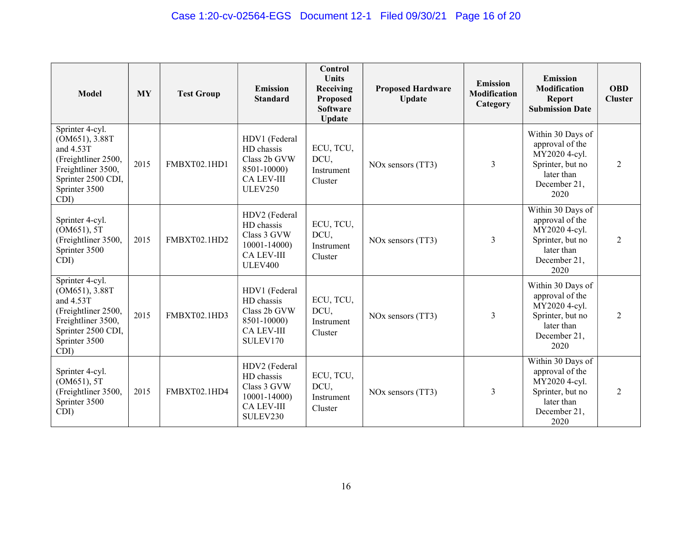| <b>Model</b>                                                                                                                               | <b>MY</b> | <b>Test Group</b> | <b>Emission</b><br><b>Standard</b>                                                                | Control<br><b>Units</b><br>Receiving<br>Proposed<br><b>Software</b><br><b>Update</b> | <b>Proposed Hardware</b><br><b>Update</b> | <b>Emission</b><br><b>Modification</b><br>Category | <b>Emission</b><br>Modification<br><b>Report</b><br><b>Submission Date</b>                                      | <b>OBD</b><br><b>Cluster</b> |
|--------------------------------------------------------------------------------------------------------------------------------------------|-----------|-------------------|---------------------------------------------------------------------------------------------------|--------------------------------------------------------------------------------------|-------------------------------------------|----------------------------------------------------|-----------------------------------------------------------------------------------------------------------------|------------------------------|
| Sprinter 4-cyl.<br>(OM651), 3.88T<br>and 4.53T<br>(Freightliner 2500,<br>Freightliner 3500,<br>Sprinter 2500 CDI,<br>Sprinter 3500<br>CDI) | 2015      | FMBXT02.1HD1      | HDV1 (Federal<br>HD chassis<br>Class 2b GVW<br>8501-10000)<br><b>CA LEV-III</b><br><b>ULEV250</b> | ECU, TCU,<br>DCU,<br>Instrument<br>Cluster                                           | NO <sub>x</sub> sensors (TT3)             | 3                                                  | Within 30 Days of<br>approval of the<br>MY2020 4-cyl.<br>Sprinter, but no<br>later than<br>December 21,<br>2020 | 2                            |
| Sprinter 4-cyl.<br>(OM651), 5T<br>(Freightliner 3500,<br>Sprinter 3500<br>CDI)                                                             | 2015      | FMBXT02.1HD2      | HDV2 (Federal<br>HD chassis<br>Class 3 GVW<br>10001-14000)<br><b>CA LEV-III</b><br><b>ULEV400</b> | ECU, TCU,<br>DCU,<br>Instrument<br>Cluster                                           | NO <sub>x</sub> sensors (TT3)             | 3                                                  | Within 30 Days of<br>approval of the<br>MY2020 4-cyl.<br>Sprinter, but no<br>later than<br>December 21,<br>2020 | 2                            |
| Sprinter 4-cyl.<br>(OM651), 3.88T<br>and 4.53T<br>(Freightliner 2500,<br>Freightliner 3500,<br>Sprinter 2500 CDI,<br>Sprinter 3500<br>CDI) | 2015      | FMBXT02.1HD3      | HDV1 (Federal<br>HD chassis<br>Class 2b GVW<br>8501-10000)<br><b>CA LEV-III</b><br>SULEV170       | ECU, TCU,<br>DCU,<br>Instrument<br>Cluster                                           | NO <sub>x</sub> sensors (TT3)             | 3                                                  | Within 30 Days of<br>approval of the<br>MY2020 4-cyl.<br>Sprinter, but no<br>later than<br>December 21,<br>2020 | 2                            |
| Sprinter 4-cyl.<br>(OM651), 5T<br>(Freightliner 3500,<br>Sprinter 3500<br>CDI)                                                             | 2015      | FMBXT02.1HD4      | HDV2 (Federal<br>HD chassis<br>Class 3 GVW<br>10001-14000)<br><b>CA LEV-III</b><br>SULEV230       | ECU, TCU,<br>DCU,<br>Instrument<br>Cluster                                           | NO <sub>x</sub> sensors (TT3)             | 3                                                  | Within 30 Days of<br>approval of the<br>MY2020 4-cyl.<br>Sprinter, but no<br>later than<br>December 21,<br>2020 | 2                            |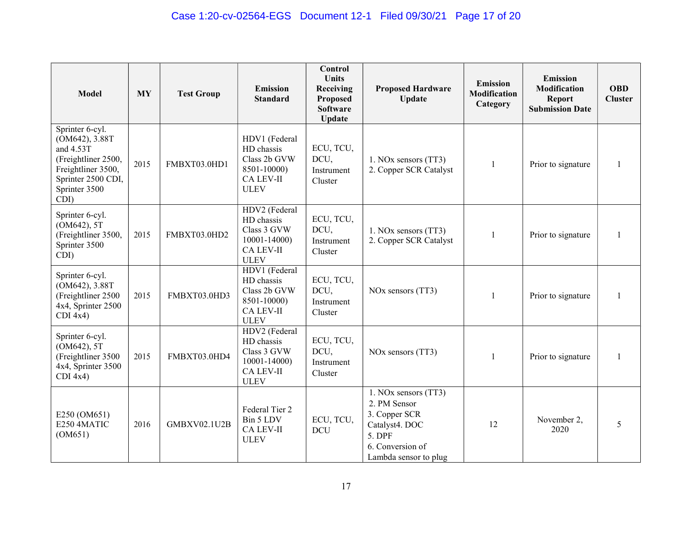| <b>Model</b>                                                                                                                               | <b>MY</b> | <b>Test Group</b>   | <b>Emission</b><br><b>Standard</b>                                                               | Control<br><b>Units</b><br>Receiving<br>Proposed<br><b>Software</b><br><b>Update</b> | <b>Proposed Hardware</b><br>Update                                                                                             | <b>Emission</b><br><b>Modification</b><br>Category | <b>Emission</b><br>Modification<br><b>Report</b><br><b>Submission Date</b> | <b>OBD</b><br><b>Cluster</b> |
|--------------------------------------------------------------------------------------------------------------------------------------------|-----------|---------------------|--------------------------------------------------------------------------------------------------|--------------------------------------------------------------------------------------|--------------------------------------------------------------------------------------------------------------------------------|----------------------------------------------------|----------------------------------------------------------------------------|------------------------------|
| Sprinter 6-cyl.<br>(OM642), 3.88T<br>and 4.53T<br>(Freightliner 2500,<br>Freightliner 3500,<br>Sprinter 2500 CDI,<br>Sprinter 3500<br>CDI) | 2015      | FMBXT03.0HD1        | HDV1 (Federal<br>HD chassis<br>Class 2b GVW<br>8501-10000)<br><b>CA LEV-II</b><br><b>ULEV</b>    | ECU, TCU,<br>DCU,<br>Instrument<br>Cluster                                           | 1. NOx sensors (TT3)<br>2. Copper SCR Catalyst                                                                                 | 1                                                  | Prior to signature                                                         |                              |
| Sprinter 6-cyl.<br>(OM642), 5T<br>(Freightliner 3500,<br>Sprinter 3500<br>CDI)                                                             | 2015      | FMBXT03.0HD2        | HDV2 (Federal<br>HD chassis<br>Class 3 GVW<br>$10001 - 14000$<br><b>CA LEV-II</b><br><b>ULEV</b> | ECU, TCU,<br>DCU,<br>Instrument<br>Cluster                                           | 1. NOx sensors (TT3)<br>2. Copper SCR Catalyst                                                                                 | -1                                                 | Prior to signature                                                         |                              |
| Sprinter 6-cyl.<br>(OM642), 3.88T<br>(Freightliner 2500<br>4x4, Sprinter 2500<br>$CDI$ 4x4)                                                | 2015      | FMBXT03.0HD3        | HDV1 (Federal<br>HD chassis<br>Class 2b GVW<br>8501-10000)<br>CA LEV-II<br><b>ULEV</b>           | ECU, TCU,<br>DCU,<br>Instrument<br>Cluster                                           | NO <sub>x</sub> sensors (TT3)                                                                                                  | $\mathbf{1}$                                       | Prior to signature                                                         |                              |
| Sprinter 6-cyl.<br>(OM642), 5T<br>(Freightliner 3500<br>4x4, Sprinter 3500<br>$CDI$ 4x4)                                                   | 2015      | FMBXT03.0HD4        | HDV2 (Federal<br>HD chassis<br>Class 3 GVW<br>$10001 - 14000$<br><b>CA LEV-II</b><br><b>ULEV</b> | ECU, TCU,<br>DCU,<br>Instrument<br>Cluster                                           | NO <sub>x</sub> sensors (TT3)                                                                                                  |                                                    | Prior to signature                                                         |                              |
| E250 (OM651)<br>E250 4MATIC<br>(OM651)                                                                                                     | 2016      | <b>GMBXV02.1U2B</b> | Federal Tier 2<br>Bin 5 LDV<br>CA LEV-II<br><b>ULEV</b>                                          | ECU, TCU,<br><b>DCU</b>                                                              | 1. NOx sensors (TT3)<br>2. PM Sensor<br>3. Copper SCR<br>Catalyst4. DOC<br>5. DPF<br>6. Conversion of<br>Lambda sensor to plug | 12                                                 | November 2,<br>2020                                                        | 5                            |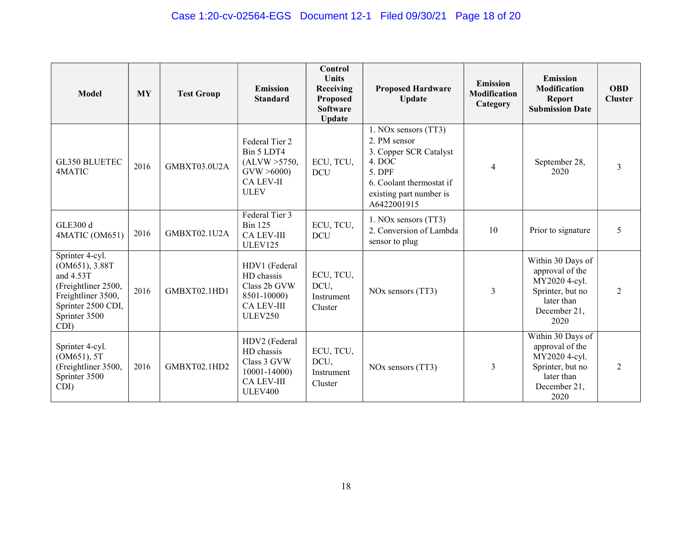| <b>Model</b>                                                                                                                               | <b>MY</b> | <b>Test Group</b> | <b>Emission</b><br><b>Standard</b>                                                                   | Control<br><b>Units</b><br>Receiving<br>Proposed<br><b>Software</b><br><b>Update</b> | <b>Proposed Hardware</b><br><b>Update</b>                                                                                                                | <b>Emission</b><br><b>Modification</b><br>Category | <b>Emission</b><br>Modification<br><b>Report</b><br><b>Submission Date</b>                                      | <b>OBD</b><br><b>Cluster</b> |
|--------------------------------------------------------------------------------------------------------------------------------------------|-----------|-------------------|------------------------------------------------------------------------------------------------------|--------------------------------------------------------------------------------------|----------------------------------------------------------------------------------------------------------------------------------------------------------|----------------------------------------------------|-----------------------------------------------------------------------------------------------------------------|------------------------------|
| <b>GL350 BLUETEC</b><br>4MATIC                                                                                                             | 2016      | GMBXT03.0U2A      | Federal Tier 2<br>Bin 5 LDT4<br>(ALVW > 5750,<br>GVW > 6000<br><b>CA LEV-II</b><br><b>ULEV</b>       | ECU, TCU,<br><b>DCU</b>                                                              | 1. NOx sensors (TT3)<br>2. PM sensor<br>3. Copper SCR Catalyst<br>4. DOC<br>5. DPF<br>6. Coolant thermostat if<br>existing part number is<br>A6422001915 | $\overline{4}$                                     | September 28,<br>2020                                                                                           | 3                            |
| <b>GLE300 d</b><br>4MATIC (OM651)                                                                                                          | 2016      | GMBXT02.1U2A      | Federal Tier 3<br><b>Bin 125</b><br><b>CA LEV-III</b><br>ULEV125                                     | ECU, TCU,<br><b>DCU</b>                                                              | 1. NOx sensors (TT3)<br>2. Conversion of Lambda<br>sensor to plug                                                                                        | 10                                                 | Prior to signature                                                                                              | 5                            |
| Sprinter 4-cyl.<br>(OM651), 3.88T<br>and 4.53T<br>(Freightliner 2500,<br>Freightliner 3500,<br>Sprinter 2500 CDI,<br>Sprinter 3500<br>CDI) | 2016      | GMBXT02.1HD1      | HDV1 (Federal<br>HD chassis<br>Class 2b GVW<br>8501-10000)<br><b>CA LEV-III</b><br><b>ULEV250</b>    | ECU, TCU,<br>DCU,<br>Instrument<br>Cluster                                           | NO <sub>x</sub> sensors (TT3)                                                                                                                            | 3                                                  | Within 30 Days of<br>approval of the<br>MY2020 4-cyl.<br>Sprinter, but no<br>later than<br>December 21,<br>2020 | $\mathfrak{D}$               |
| Sprinter 4-cyl.<br>(OM651), 5T<br>(Freightliner 3500,<br>Sprinter 3500<br>CDI)                                                             | 2016      | GMBXT02.1HD2      | HDV2 (Federal<br>HD chassis<br>Class 3 GVW<br>$10001 - 14000$<br><b>CA LEV-III</b><br><b>ULEV400</b> | ECU, TCU,<br>DCU,<br>Instrument<br>Cluster                                           | NO <sub>x</sub> sensors (TT3)                                                                                                                            | 3                                                  | Within 30 Days of<br>approval of the<br>MY2020 4-cyl.<br>Sprinter, but no<br>later than<br>December 21,<br>2020 | 2                            |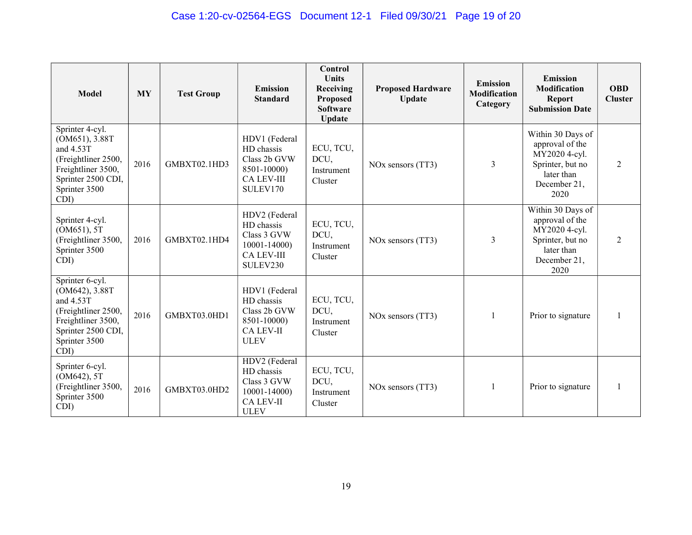| <b>Model</b>                                                                                                                               | <b>MY</b> | <b>Test Group</b> | <b>Emission</b><br><b>Standard</b>                                                             | Control<br><b>Units</b><br>Receiving<br>Proposed<br><b>Software</b><br><b>Update</b> | <b>Proposed Hardware</b><br><b>Update</b> | <b>Emission</b><br><b>Modification</b><br>Category | <b>Emission</b><br>Modification<br><b>Report</b><br><b>Submission Date</b>                                      | <b>OBD</b><br><b>Cluster</b> |
|--------------------------------------------------------------------------------------------------------------------------------------------|-----------|-------------------|------------------------------------------------------------------------------------------------|--------------------------------------------------------------------------------------|-------------------------------------------|----------------------------------------------------|-----------------------------------------------------------------------------------------------------------------|------------------------------|
| Sprinter 4-cyl.<br>(OM651), 3.88T<br>and 4.53T<br>(Freightliner 2500,<br>Freightliner 3500,<br>Sprinter 2500 CDI,<br>Sprinter 3500<br>CDI) | 2016      | GMBXT02.1HD3      | HDV1 (Federal<br>HD chassis<br>Class 2b GVW<br>8501-10000)<br><b>CA LEV-III</b><br>SULEV170    | ECU, TCU,<br>DCU,<br>Instrument<br>Cluster                                           | NO <sub>x</sub> sensors (TT3)             | 3                                                  | Within 30 Days of<br>approval of the<br>MY2020 4-cyl.<br>Sprinter, but no<br>later than<br>December 21,<br>2020 | $\mathfrak{D}$               |
| Sprinter 4-cyl.<br>(OM651), 5T<br>(Freightliner 3500,<br>Sprinter 3500<br>CDI)                                                             | 2016      | GMBXT02.1HD4      | HDV2 (Federal<br>HD chassis<br>Class 3 GVW<br>$10001 - 14000$<br><b>CA LEV-III</b><br>SULEV230 | ECU, TCU,<br>DCU,<br>Instrument<br>Cluster                                           | NO <sub>x</sub> sensors (TT3)             | 3                                                  | Within 30 Days of<br>approval of the<br>MY2020 4-cyl.<br>Sprinter, but no<br>later than<br>December 21,<br>2020 | 2                            |
| Sprinter 6-cyl.<br>(OM642), 3.88T<br>and 4.53T<br>(Freightliner 2500,<br>Freightliner 3500,<br>Sprinter 2500 CDI,<br>Sprinter 3500<br>CDI) | 2016      | GMBXT03.0HD1      | HDV1 (Federal<br>HD chassis<br>Class 2b GVW<br>8501-10000)<br><b>CA LEV-II</b><br><b>ULEV</b>  | ECU, TCU,<br>DCU,<br>Instrument<br>Cluster                                           | NO <sub>x</sub> sensors (TT3)             | $\mathbf{1}$                                       | Prior to signature                                                                                              |                              |
| Sprinter 6-cyl.<br>(OM642), 5T<br>(Freightliner 3500,<br>Sprinter 3500<br>CDI)                                                             | 2016      | GMBXT03.0HD2      | HDV2 (Federal<br>HD chassis<br>Class 3 GVW<br>10001-14000)<br><b>CA LEV-II</b><br><b>ULEV</b>  | ECU, TCU,<br>DCU,<br>Instrument<br>Cluster                                           | NO <sub>x</sub> sensors (TT3)             |                                                    | Prior to signature                                                                                              |                              |